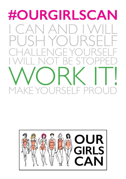## **#OURGIRLSCAN** CAN AN  $\overline{\phantom{a}}$ YOU PL JSF RSE  $\overline{1}$ YOURS  $\mathsf{I} \vDash \mathsf{P}$ Е マー

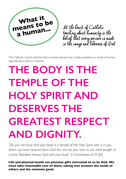

At the heart of Catholic teaching about humanity is the belief that every person is made in the image and likeness of God

The Catholic church teaches that a human person has a body, created as a result of human reproduction, which is mortal.

## **THE BODY IS THE TEMPLE OF THE Holy Spirit and DESERVES THE greatest respect and dignity.**

"Do you not know that your body is a temple of the Holy Spirit, who is in you, *whom you have received from God? You are not your own as you were bought at a price. Therefore honour God with your body"* (I Corinthians 6:19-20)

**Life and physical health are precious gifts entrusted to us by God. We must take reasonable care of them, taking into account the needs of others and the common good.**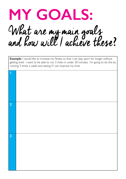

**Example:** I would like to increase my fitness so that I can play sport for longer without getting tired. I want to be able to run 3 miles in under 30 minutes. I'm going to do this by running 3 times a week and seeing if I can improve my time.

| ſ              |  |
|----------------|--|
|                |  |
|                |  |
|                |  |
|                |  |
| $\overline{2}$ |  |
|                |  |
|                |  |
|                |  |
|                |  |
| $\overline{3}$ |  |
|                |  |
|                |  |
|                |  |
|                |  |
|                |  |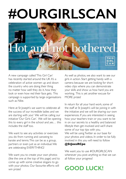# **#ourgirlscan**



A new campaign called 'This Girl Can' has recently started around the UK. It's a celebration of active women up and down the country who are doing their thing no matter how well they do it, how they look or even how red their face gets. This campaign is supported by large organisations such as Nike.

Here at St Joseph's we want to celebrate all the success of our incredible ladies and we are starting with you! We will be calling our initiative 'Our Girls Can'. We will be opening this to every girl in the school and yes… this includes the staff too.

We want to see any activities or exercises you do from running and canoeing to karate and tennis. This can be as a group, partners or even just as an individual. We are celebrating EVERYTHING!

We want you to create your own photos (like the one at the top of this page) and to come up with some creative slogans to go with your photos. Our favourite efforts will win prizes!

As well as photos, we also want to see our girls in action. Start getting handy with a camera because we are looking for short video clips where you can demonstrate your skills and show us how hard you are working. This is yet another excuse for MORE prizes!

In return for all your hard work, some of the staff at St Joseph's will be joining in with the initiative and we will be sharing our own experiences. If you are interested in seeing how your teachers train or you want to be in on our secrets to a healthy and balanced lifestyle then get involved and we'll share some of our top tips with you. We will be using Twitter as our base for your photos and videos. In order to be fully involved in this you will need to follow

## **@StJoesRCpe**

We want you to use #OURGIRLSCAN whenever you post anything so that we can all follow your progress!

## **GOOD LUCK!**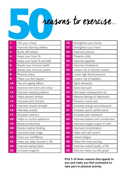# reasons to exercise...

| ī                       | Lifts your mood                |
|-------------------------|--------------------------------|
| $\overline{\mathbf{2}}$ | Improves learning abilities    |
| 3                       | Builds self-esteem             |
| 4                       | Keeps your brain fit           |
| 5                       | Keeps your body fit and able   |
| 6                       | Boosts your immune health      |
| 7                       | Boosts your immune system      |
| 8                       | Reduces stress                 |
| 9                       | Makes you feel happier         |
| $\overline{10}$         | Has anti-ageing effects        |
| п                       | Improves skin tone and colour  |
| $\overline{2}$          | Improves sleeping patterns     |
| 13                      | Helps prevent strokes          |
| 14                      | Improves joint function        |
| 15                      | Improves muscle strength       |
| Ī6                      | Alleviates anxiety             |
| $\overline{17}$         | Sharpens memory                |
| 18                      | Helps to control addictions    |
| <u>19</u>               | Boosts productivity            |
| 20                      | Boosts creative thinking       |
| 21                      | Improves body image            |
| 22                      | Gives you confidence           |
| 23                      | Helps you keep focused in life |
| 24                      | Improves eating habits         |
| 25                      | Increases longevity            |

| 26 | Strengthens your bones            |
|----|-----------------------------------|
| 27 | Strengthens your heart            |
| 28 | Improves posture                  |
| 29 | Prevents colds                    |
| 30 | Improves appetite                 |
| 31 | Improves cholesterol              |
| 32 | Lowers risk of (some) cancers     |
| 33 | Lower high blood pressure         |
| 34 | Lowers risk of diabetes           |
| 35 | Fights dementia                   |
| 36 | Eases back pain                   |
| 37 | Decreases osteoporosis risk       |
| 38 | Reduces feelings of depression    |
| 39 | Prevents muscle loss              |
| 40 | Increases energy and endurance    |
| 41 | Increases sports performance      |
| 42 | Increases pain resistance         |
| 43 | Improves balance and coordination |
| 44 | Improves oxygen supply to cells   |
| 45 | Improves concentration            |
| 46 | Helps with self control           |
| 47 | Lessens fatigue                   |
| 48 | Makes life more exciting          |
| 49 | Improves overall quality of life  |
| 50 | Exercise makes you feel great!    |

**Pick 5 of these reasons that appeal to you and make you feel motivated to take part in physical activity.**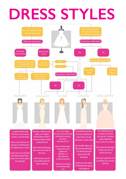# **dress styles**

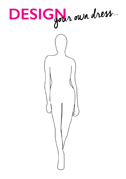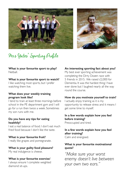



Mrs Yates' Sporting Profile:

## **What is your favourite sport to play? Nethall**

## **What is your favourite sport to watch?**

I like watching most sports, but I prefer watching them live.

## **What does your weekly training program look like?**

I tend to train at least three mornings before school in the PE department gym and I will go for a run then twice a week. Sometimes my son runs with me.

## **Do you have any tips for eating healthily?**

I eat a real balance of food. I don't eat much fried food because I don't like the taste.

## **What is your favourite fruit?**

I really like grapes and pomegranate.

## **What is your guilty food pleasure?**

My real indulgence is cheese.

## **What is your favourite exercise**?

I always ensure I complete weighted diamond sit-ups.

## **An interesting sporting fact about you?**

My best ever sporting achievement was completing the Dirty Dozen race with 5 friends in 2015. We raised £2,000 for Dementia. It was the hardest thing I have ever done but I laughed nearly all the way round the course.

## **How do you motivate yourself to train?**

I actually enjoy training as it is my opportunity to release stress and it means I get some time to myself.

### **In a few words explain how you feel before training?**

Preoccupied and tired.

## **In a few words explain how you feel after training?**

Calm and energised.

## **What is your favourite motivational quote?**

*"Make sure your worst enemy doesn't live between your own two ears."*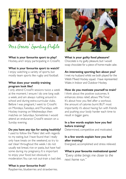

Mrs Geeves' Sporting Profile:

**What is your favourite sport to play?** Hockey, and I enjoy participating in CrossFit.

## **What is your favourite sport to watch?**

I enjoy watching a variety of sports, but mostly team sports like rugby and football.

## **What does your weekly training program look like?**

I only attend CrossFit sessions twice a week at the moment. I ensure I do one long walk a week, and am always rushing around in school and during extra-curricular clubs. Before I was pregnant, I went to CrossFit on Mondays, Tuesdays, and Thursdays, with Hockey training on Wednesdays then matches on Saturdays. Sometimes I would attend an endurance CrossFit session on a Sunday evening.

## **Do you have any tips for eating healthily?**

I used to follow the 'Paleo' diet with regards to my eating, but I have found that I really only have treats on the weekend, so try to eat 'clean' throughout the week. I do not usually eat bread, rice or pasta, but have had some during my pregnancy. It is important to enjoy your food, but obviously in moderation. You can not out-train a bad diet.

## **What is your favourite fruit?**

Raspberries, blueberries and strawberries.



## **What is your guilty food pleasure?**

Chocolate is my guilty pleasure, but I would swap chocolate for a piece of home-made cake.

## **An interesting sporting fact about you?**

I met my husband whilst we both played for the Welsh Mixed Hockey squad. I have represented Wales in Indoor and Outdoor Hockey.

## **How do you motivate yourself to train?**

I think about the positive outcomes. It enhances stress relief, allows 'Me Time'. It's about how you feel after a workout, the amount of calories burnt BUT most importantly it's about having fun with friends and pushing your body harder each time to result in bigger gains.

## **In a few words explain how you feel before training?**

Determined, competitive and motivated.

## **In a few words explain how you feel after training?**

Energised, accomplished and stress relieved.

## **What is your favourite motivational quote?**

*"Every strike brings me closer to the next home run."*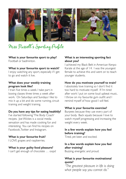

Miss Russell' s Sporting Profile:

**What is your favourite sport to play?** Football or badminton.

## **What is your favourite sport to watch?**

I enjoy watching any sport, especially if I get to go and watch it live.

## **What does your weekly training program look like?**

I train five times a week. I take part in boxing classes three times a week after work. On Saturdays and Sundays I like to mix it up a bit and do some running, circuit training and weight training.

### **Do you have any tips for eating healthily?**

I've started following 'The Body Coach' recipes. Joe Wickes is a social media sensation and has made cooking fun and interesting. You can find his recipes on Facebook, Twitter and Instagram.

### **What is your favourite fruit?**

I LOVE grapes and raspberries.

#### **What is your guilty food pleasure?**

I can't get enough of chocolate … oops!

## **What is an interesting sporting fact about you?**

I achieved my Black Belt in American Kenpo Karate at the age of 14. I was the youngest female to achieve this and went on to teach younger students.

### **How do you motivate yourself to train?**

I absolutely love training so I don't find it too hard to motivate myself. If I'm tired after work I put on some loud upbeat music, I throw on my favourite gym outfit and I remind myself of how good I will feel.

## **What is your favourite exercise?**

Burpees because they use every part of your body. Back squats because I love to watch myself progressing and increasing the weight every week.

## **In a few words explain how you feel before training?**

Tired, yet keen and excited.

## **In a few words explain how you feel after training?** Buzzing, energetic and proud.

## **What is your favourite motivational quote?**

*"The greatest pleasure in life is doing what people say you cannot do."*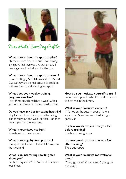

Miss Hicks' Sporting Profile:

## **What is your favourite sport to play?**

My main sport is squash but I love playing any sport that involves a racket or bat. I love a game of netball and football too

## **What is your favourite sport to watch?**

I love the Rugby Six Nations and the World Cup as they are a great excuse to socialise with my friends and watch great sport.

## **What does your weekly training program look like?**

I play three squash matches a week with a gym session thrown in once a week as well.

### **Do you have any tips for eating healthily?**

I try to keep to a relatively healthy eating plan throughout the week so that I can then treat myself on the weekend.

**What is your favourite fruit?**  Strawberries … and cream.

### **What is your guilty food pleasure?**

I am quite partial to an Indian takeaway on the weekend.

## **What is an interesting sporting fact about you?**

I've been Squash Welsh National Champion four times.



**How do you motivate yourself to train?** I never want people who I've beaten before to beat me in the future.

### **What is your favourite exercise?**

If it's not on the squash court, I love a leg session. Squatting and dead lifting in particular.

**In a few words explain how you feel before training?** Ready and raring to go.

**In a few words explain how you feel after training?** Tired but happy.

## **What is your favourite motivational quote?**

*"Why go at all if you aren't going all the way".*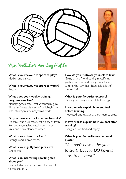

## Miss Millichip' s Sporting Profile:

## **What is your favourite sport to play?**  Netball and dance.

**What is your favourite sport to watch?** Rugby.

## **What does your weekly training program look like?**

Monday: gym, Tuesday: rest, Wednesday: gym, Thursday: fitness blender on YouTube, Friday: rest, Saturday: rest, Sunday: family walk.

## **Do you have any tips for eating healthily?**

Prepare your own meals, eat plenty of fresh fruit and vegetables, watch your portion sizes, and drink plenty of water.

**What is your favourite fruit?**  Oranges and strawberries.

**What is your guilty food pleasure?**  Chocolate.

## **What is an interesting sporting fact about you?**

I was a ballroom dancer from the age of 5 to the age of 17.

**How do you motivate yourself to train?** Going with a friend, setting myself small goals to achieve and being ready for my summer holiday that I have paid a lot of money for!

## **What is your favourite exercise?**

Dancing, skipping and kettlebell swings.

## **In two words explain how you feel before training?**

Motivated, enthusiastic and sometimes tired.

## **In two words explain how you feel after training?**

Energised, satisfied and happy.

## **What is your favourite motivational quote?**

*"You don't have to be great to start. But you DO have to start to be great."*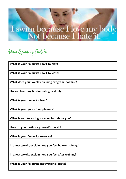# I swim because I love my body.<br>Not because I hate it.

## Your Sporting Profile:

**What is your favourite sport to play?**

**What is your favourite sport to watch?**

**What does your weekly training program look like?** 

**Do you have any tips for eating healthily?**

**What is your favourite fruit?** 

**What is your guilty food pleasure?** 

**What is an interesting sporting fact about you?** 

**How do you motivate yourself to train?**

**What is your favourite exercise?** 

**In a few words, explain how you feel before training?**.

**In a few words, explain how you feel after training?**

**What is your favourite motivational quote?**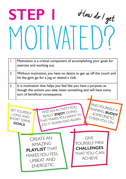# **Step 1** MOTIVATED? How do I get

|              | Motivation is a critical component of accomplishing your goals for<br>exercise and working out.                                                                      |
|--------------|----------------------------------------------------------------------------------------------------------------------------------------------------------------------|
| $\mathbf{2}$ | Without motivation, you have no desire to get up off the couch and<br>hit the gym, go for a jog or attend a club.                                                    |
| 3            | It is motivation that helps you feel like you have a purpose, as<br>though the actions you take mean something and will have some<br>sort of beneficial consequence. |

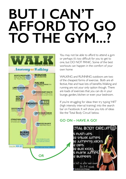## **BUT I can't afford to go to the gym...?**



You may not be able to afford to attend a gym or perhaps it's too difficult for you to get to one, but DO NOT PANIC. Some of the best workouts can happen in the comfort of your own home

WALKING and RUNNING outdoors are two of the cheapest forms of exercise. Both are effective, free and have lots of benefits. Walking and running are not your only option though. There are loads of exercises that you can do in your lounge, garden, kitchen or even your bedroom.

If you're struggling for ideas then try typing 'HIIT' (high intensity interval training) into the search bar on Facebook. It will show you lots of ideas like the 'Total Body Circuit' below.

## **Go on – have a go!**

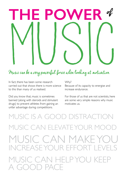

In fact, there has been some research carried out that shows there is more science to this than many of us realised.

Why? Because of its capacity to energise and increase endurance.

Did you know that, music is sometimes banned (along with steroids and stimulant drugs) to prevent athletes from gaining an unfair advantage during competitions.

For those of us that are not scientists, here are some very simple reasons why music motivates us.

music is a good distraction MUSIC CAN ELEVATEYOUR MOO music can make you increaseyour effort levels music can help you keep  $A$  GOOD PACE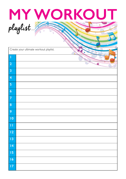

|                 | Create your ultimate workout playlist. |  |
|-----------------|----------------------------------------|--|
| $\vert$         |                                        |  |
| $\boxed{2}$     |                                        |  |
| $\boxed{3}$     |                                        |  |
| $\boxed{4}$     |                                        |  |
| $\boxed{5}$     |                                        |  |
| $\boxed{6}$     |                                        |  |
| $\boxed{7}$     |                                        |  |
| $\vert 8$       |                                        |  |
| $ 9\rangle$     |                                        |  |
| $\overline{10}$ |                                        |  |
| $\blacksquare$  |                                        |  |
| $\boxed{12}$    |                                        |  |
| $\vert$ 3       |                                        |  |
| $\overline{14}$ |                                        |  |
| 15              |                                        |  |
| $\vert$ 16      |                                        |  |
| $\vert$ 17      |                                        |  |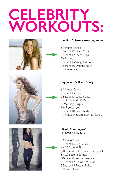## **Celebrity workouts:**



## **Jennifer Aniston's Amazing Arms**

- 5 Minutes Cardio 3 Sets of 12 Bicep Curls
- 3 Sets of 12 Tricep Dips
- 
- 20 Burpees
- 3 Sets of 15 Weighted Punches
- 2 Sets of 10 Upright Rows
- 5 minutes of Cardio



## **Beyonce's Brilliant Booty**

- 6 Minutes Cardio 2 Sets of 15 Squats 2 Sets of 15 Glute Raises 3 x 30 Second SPRINTS 24 Walking Lunges 10x Plyo Lunges 3 Sets of 10 Glute Bridges
- 4 Minutes Medium Intensity Cardio



## **Nicole Sherzingers' SHAMAZING Abs**

- 5 Minutes Cardio
- 3 Sets of 16 Leg Raises
- 4 x 30 Second Planks
- (20 second rest between each plank)
- 3 x 20 Second Sprints
- (20 second rest between each)
- 3 Sets of 12 Crunches/ Sit ups
- 2 Sets of 15 Russian Twists
- 6 Minutes Cardio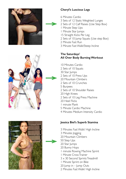



## **Cheryl's Luscious Legs**

- 6 Minutes Cardio
- 3 Sets of 12 Static Weighted Lunges
- 2 Sets of 12 Calf Raises (Use Step Box)
- 1 Minute Step Ups
- 1 Minute Star Jumps
- 15 Straight Kicks Per Leg
- 2 Sets of 10 Jump Squats (Use step Box)
- 2 Minute Fast Run
- 3 Minute Fast Walk/Steep Incline

## **The Saturdays' All Over Body Burning Workout**

10 Minutes Cardio 2 Sets of 10 Squats 30 Star Jumps 2 Sets of 10 Press Ups 20 Mountain Climbers 2 Sets of 10 Crunches 5 Burpees 2 Sets of 10 Shoulder Raises 20 High Knees 2 Sets of 10 Leg Press Machine 20 Heel Flicks 1 minute Plank 5 Minute Cardio Machine 4 Minutes Medium Intensity Cardio

## **Jessica Biel's Superb Stamina**

- 3 Minutes Fast Walk/ High Incline
- 3 Minutes Jogging
- 20 Mountain Climbers
- 50 Step Ups
- 20 Star Jumps
- 20 Bunny Hops
- 1 minute Rowing Machine Sprint
- 1 Minute Cross Trainer
- 3 x 30 Second Sprints Treadmill
- 1 Minute Sprint on Bike
- 20 Jump in Jump Outs
- 2 Minutes Fast Walk/ High Incline

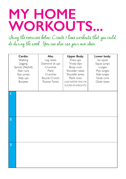## **MY HOME WORKOUTS...**

Using the exercises below, Create 3 home workouts that you could do during the week. You can also use your own ideas.

|                | Cardio:<br>Walking<br>Jogging<br>Sprints (flat/hill)<br>Stair runs<br>Star jumps<br>Step ups<br><b>Burpees</b> | Abs:<br>Leg raises<br>Diamond sit ups<br>Crunches<br>Plank<br>Crunches<br>Bicycle Crunch<br>Russian Twists | <b>Upper Body:</b><br>Press ups<br>Tricep dips<br>Bicep curls<br>Shoulder raises<br>Shoulder press<br>Plank rows<br>(USE WATER, TINS OR<br>SUGAR AS WEIGHTS) | Lower body:<br>Iso squat<br>Squat jumps<br>Lunges<br>Plyo lunges<br>Side lunges<br>Glute curls<br>Glute raises |
|----------------|----------------------------------------------------------------------------------------------------------------|------------------------------------------------------------------------------------------------------------|--------------------------------------------------------------------------------------------------------------------------------------------------------------|----------------------------------------------------------------------------------------------------------------|
| I              |                                                                                                                |                                                                                                            |                                                                                                                                                              |                                                                                                                |
| $\overline{2}$ |                                                                                                                |                                                                                                            |                                                                                                                                                              |                                                                                                                |
| $\overline{3}$ |                                                                                                                |                                                                                                            |                                                                                                                                                              |                                                                                                                |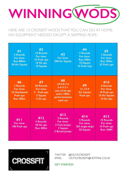

HERE ARE 15 CROSSEIT WODS THAT YOU CAN DO AT HOME. NO EQUIPMENT needed EXcept a skipping rope.

| #1<br><b>3 Rounds</b><br>For time:<br><b>Run 800m</b><br><b>50 Air Squats</b>            | #2<br><b>10 Rounds</b><br>For time:<br>10 Push ups<br>10 Sit ups<br><b>10 Squats</b> | #3<br>For time:<br><b>200 Air Squats</b>                                                                 | #4<br><b>5 Rounds</b><br>For time:<br><b>Run 200m</b><br><b>10 Squats</b><br><b>10 Push Ups</b> | #5<br><b>3 Rounds</b><br>For time:<br><b>Run 200m</b><br>25 Push ups                     |
|------------------------------------------------------------------------------------------|--------------------------------------------------------------------------------------|----------------------------------------------------------------------------------------------------------|-------------------------------------------------------------------------------------------------|------------------------------------------------------------------------------------------|
| #6<br><b>3 Rounds</b><br>For time:<br><b>10 Handstand</b><br>Push ups<br><b>Run 200m</b> | #7<br>20 Rounds<br>For time:<br>5 Push-ups<br>5 Squats<br>5 Sit ups                  | #8<br>$10-9-8-7-6$<br>$5 - 4 - 3 - 2 - 1$<br>sets of sit-ups<br>and a 100m<br>sprint between<br>each set | #9<br>$21 - 15 - 9$<br><b>Air Squats</b><br>Push ups                                            | #10<br><b>6 Rounds</b><br>For time:<br>10 Push ups<br><b>10 Air Squats</b><br>10 Sit Ups |
| #11<br>For time:<br>100 Push ups                                                         | #12<br>3 Rounds:<br>50 Sit ups<br><b>Run 400m</b>                                    | #13<br><b>5 Rounds</b><br>For time:<br>3 Tuck Jumps<br>3 Squats<br>3 Broad Jumps                         | #14<br>5 Rounds<br>For time:<br>100 single-skips<br><b>50 Squats</b>                            | #15<br><b>10 Rounds</b><br>For time:<br>10 Push ups<br><b>Run 100M</b>                   |



twitter @CelticCrossFit EMAIL celticcrossfit@hotmail.co.uk

**get started!**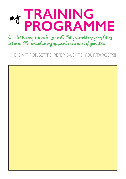## **training programme** my

Create 1 training session for yourself that you would enjoy completing in lesson. This can include any equipment or exercises of your choice

DON'T FORGET TO REFER BACK TO YOUR TARGETS!!

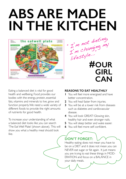## **ABS ARE MADE IN THE KITCHEN**



Im Creas."<br>lifestyle... **OUR #GIRL CAN**

Eating a balanced diet is vital for good health and wellbeing. Food provides our bodies with the energy, protein, essential fats, vitamins and minerals to live, grow and function properly. We need a wide variety of different foods to provide the right amounts of nutrients for good health.

To increase your understanding of what a balanced diet looks like you can search 'The Eat Well Plate' (shown above). This will show you what a healthy meal should look like.

## **REASONS TO EAT HEALTHILY**

**1** You will feel more energised and have better concentration.

I'm  $n^{DC}$ <br>I'm changing my

- **2** You will heal faster from injuries.
- **3** You will be at a lower risk from diseases such as diabetes and cardiovascular disease.
- **4** You will look GREAT! Glowing skin, healthy hair and even stronger nails.
- **5** You will sleep better and wake easier.
- **6** You will feel more self confident.

## **DON'T FORGET:**

Healthy eating does not mean you have to be on a DIET and it does not mean you can NEVER eat sugar or fat again. It just means you are trying to eat these things in MOD-ERATION and focus on a BALANCE in your daily meals.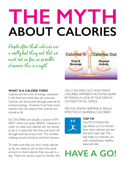# **THE MYTH ABOUT CALORIES**

People often think calories are a really bad thing and that we must eat as few as possible... However this is a myth.



## **WHAT IS A CALORIE THEN?**

Calories are the units of energy contained in the food and drink that we consume. Calories can be burned through exercise to produce energy. However, if we have more calories than we require then calories are stored as fat.

So, CALORIES are actually a source of EN-ERGY which our body NEEDS. However, in order to make sure calories are not stored as fat, it is important that they are burnt off through exercise of any kind. This includes walking around school to and from lessons.

To make sure that you don't store calories as fat, you need to aim to burn the same amount or more calories than you eat in a day. There are various ways to monitor this. YOU CAN FIND OUT HOW MANY CALORIES DIFFERENT ACTIVITIES BURN BYTAKING A LOOK AT OUR DISPLAY OUTSIDE THE PE. OFFICE.

DIDYOU KNOW SKIPPING IS REALLY EFFECTIVE AT BURNING CALORIES?



## **TOP TIP**:

The 'MY FITNESS PAL' app allows you to monitor how many calories you eat and burn each day. This also helps to motivate you with maintaining a healthy balanced diet.

## **HAVE A GO!**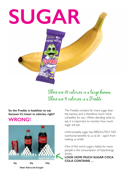

There are 120 calories in a large banana... There are 95 calories in a Freddo...

## **So the Freddo is healthier to eat because it's lower in calories, right?**

## **WRONG!**



The Freddo contains far more sugar than the banana and is therefore much more unhealthy for you. When deciding what to eat, it is important to monitor how much sugar we eat.

Unfortunately, sugar has ABSOLUTELY NO nutritional benefits to us at all – apart from making us smile!

One of the worst sugary habits for many people is the consumption of fizzy/energy drinks.

**Look how much sugar coca cola contains …**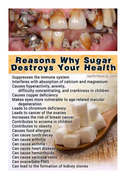

# **Reasons Why Sugar<br>Destroys Your Health**

rawforbeauty.com

Suppresses the immune system Interferes with absorption of calcium and magnesium Causes hyperactivity, anxiety,

difficulty concentrating, and crankiness in children **Causes copper deficiency** Makes eyes more vulnerable to age-related macular degeneration Leads to chromium deficiency Leads to cancer of the ovaries Increases the risk of breast cancer Contributes to eczema in children **Contributes to obesity Causes food allergies** Can cause tooth decay Can cause arthritis Can cause asthma Can cause heart disease Can cause hemorrhoids Can cause varicose veins **Can exacerbate PMS** Can lead to the formation of kidney stones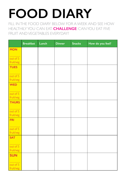# **food diary**

Fill in the Food Diary below for a week and see how healthily you can eat. **CHALLENGE**: CAN YOU EAT five FRUIT AND VEGETABLES EVERYDAY?

|                       | <b>Breakfast</b> | Lunch | <b>Dinner</b> | <b>Snacks</b> | How do you feel? |
|-----------------------|------------------|-------|---------------|---------------|------------------|
| <b>MON</b>            |                  |       |               |               |                  |
| out of 5              |                  |       |               |               |                  |
| fruit/veg             |                  |       |               |               |                  |
| <b>TUES</b>           |                  |       |               |               |                  |
| out of 5<br>fruit/veg |                  |       |               |               |                  |
| <b>WED</b>            |                  |       |               |               |                  |
| out of 5<br>fruit/veg |                  |       |               |               |                  |
| <b>THURS</b>          |                  |       |               |               |                  |
| out of 5<br>fruit/veg |                  |       |               |               |                  |
| <b>FRI</b>            |                  |       |               |               |                  |
| out of 5<br>fruit/veg |                  |       |               |               |                  |
| <b>SAT</b>            |                  |       |               |               |                  |
| out of 5<br>fruit/veg |                  |       |               |               |                  |
| <b>SUN</b>            |                  |       |               |               |                  |
| out of 5<br>fruit/veg |                  |       |               |               |                  |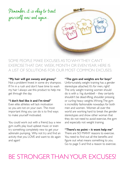Remember, it is okay to treat yourself now and again...

some people make excuses asto whythey can't exercisethat day, week, month or evenyear. Here is a list of solutions for our most common excuses:

#### **"My hair will get sweaty and greasy"**

Not a problem! Invest in some dry shampoo. If I'm in a rush and don't have time to wash my hair I always use this product to help me get through the day.

## **"I don't feel like it and I'm tired"**

Even elite athletes will lack motivation so you are not on your own. The most important thing you can do is to find ways to make yourself motivated.

You could work out with a friend, buy a new gym outfit, play loud upbeat music or even try something completely new to get your adrenalin pumping. Why not try and find an activity that you LOVE and want to do again and again!

### **"The gym and weights are for boys"**

Unfortunately, weight training has a gender stereotype attached. It's for men, right? The only weight training women should do is with a 1kg dumbbell – they certainly shouldn't be dead-lifting, shoulder pressing or curling heavy weights. Wrong. The gym is incredibly fashionable nowadays for both men and women. Women all over the world are working hard to break the gender stereotypes and show other woman that they do not need to avoid exercise, the gym and especially not weight training.

## **"There's no point – it wont help me"**

There are SO MANY reasons to exercise. You need to find out all the benefits and figure out what means something to you. Go to page 5 and find a reason to exercise.

## Be stronger than your excuses!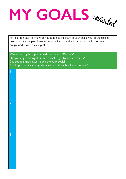**my goals** revisited

Have a look back at the goals you made at the start of your challenge. In the spaces below write a couple of sentences about each goal and how you think you have progressed towards your goal.

Was there anything you would have done differently? Did you enjoy having short term challenges to work towards? Did you feel motivated to achieve your goals? Could you set yourself goals outside of the school environment?

| Ī                       |  |
|-------------------------|--|
|                         |  |
|                         |  |
|                         |  |
|                         |  |
|                         |  |
|                         |  |
|                         |  |
|                         |  |
|                         |  |
|                         |  |
|                         |  |
|                         |  |
|                         |  |
| $\overline{2}$          |  |
|                         |  |
|                         |  |
|                         |  |
|                         |  |
|                         |  |
|                         |  |
|                         |  |
|                         |  |
|                         |  |
|                         |  |
|                         |  |
|                         |  |
| $\overline{\mathbf{3}}$ |  |
|                         |  |
|                         |  |
|                         |  |
|                         |  |
|                         |  |
|                         |  |
|                         |  |
|                         |  |
|                         |  |
|                         |  |
|                         |  |
|                         |  |
|                         |  |
|                         |  |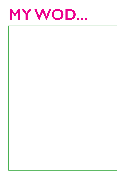

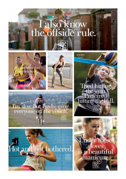# I also know<br>the offside rule.

 $\frac{1}{2}$ 







hitting **Ferred** hitting the ball.